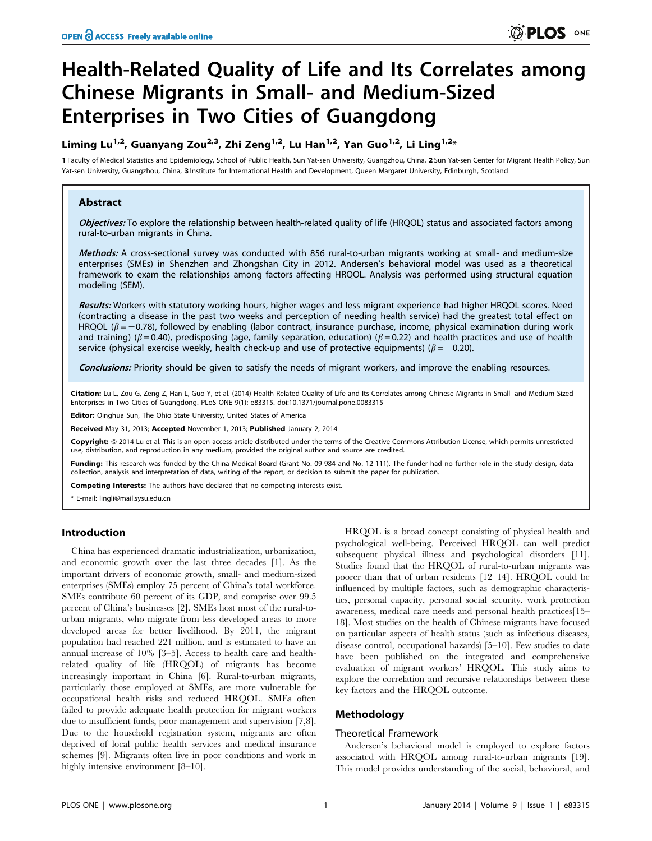# Health-Related Quality of Life and Its Correlates among Chinese Migrants in Small- and Medium-Sized Enterprises in Two Cities of Guangdong

# Liming Lu<sup>1,2</sup>, Guanyang Zou<sup>2,3</sup>, Zhi Zeng<sup>1,2</sup>, Lu Han<sup>1,2</sup>, Yan Guo<sup>1,2</sup>, Li Ling<sup>1,2</sup>\*

1 Faculty of Medical Statistics and Epidemiology, School of Public Health, Sun Yat-sen University, Guangzhou, China, 2 Sun Yat-sen Center for Migrant Health Policy, Sun Yat-sen University, Guangzhou, China, 3 Institute for International Health and Development, Queen Margaret University, Edinburgh, Scotland

# Abstract

Objectives: To explore the relationship between health-related quality of life (HROOL) status and associated factors among rural-to-urban migrants in China.

Methods: A cross-sectional survey was conducted with 856 rural-to-urban migrants working at small- and medium-size enterprises (SMEs) in Shenzhen and Zhongshan City in 2012. Andersen's behavioral model was used as a theoretical framework to exam the relationships among factors affecting HRQOL. Analysis was performed using structural equation modeling (SEM).

Results: Workers with statutory working hours, higher wages and less migrant experience had higher HRQOL scores. Need (contracting a disease in the past two weeks and perception of needing health service) had the greatest total effect on HRQOL ( $\beta$  = -0.78), followed by enabling (labor contract, insurance purchase, income, physical examination during work and training) ( $\beta$  = 0.40), predisposing (age, family separation, education) ( $\beta$  = 0.22) and health practices and use of health service (physical exercise weekly, health check-up and use of protective equipments) ( $\beta$  = -0.20).

Conclusions: Priority should be given to satisfy the needs of migrant workers, and improve the enabling resources.

Citation: Lu L, Zou G, Zeng Z, Han L, Guo Y, et al. (2014) Health-Related Quality of Life and Its Correlates among Chinese Migrants in Small- and Medium-Sized Enterprises in Two Cities of Guangdong. PLoS ONE 9(1): e83315. doi:10.1371/journal.pone.0083315

Editor: Qinghua Sun, The Ohio State University, United States of America

Received May 31, 2013; Accepted November 1, 2013; Published January 2, 2014

Copyright: © 2014 Lu et al. This is an open-access article distributed under the terms of the Creative Commons Attribution License, which permits unrestricted use, distribution, and reproduction in any medium, provided the original author and source are credited.

Funding: This research was funded by the China Medical Board (Grant No. 09-984 and No. 12-111). The funder had no further role in the study design, data collection, analysis and interpretation of data, writing of the report, or decision to submit the paper for publication.

Competing Interests: The authors have declared that no competing interests exist.

\* E-mail: lingli@mail.sysu.edu.cn

# Introduction

China has experienced dramatic industrialization, urbanization, and economic growth over the last three decades [1]. As the important drivers of economic growth, small- and medium-sized enterprises (SMEs) employ 75 percent of China's total workforce. SMEs contribute 60 percent of its GDP, and comprise over 99.5 percent of China's businesses [2]. SMEs host most of the rural-tourban migrants, who migrate from less developed areas to more developed areas for better livelihood. By 2011, the migrant population had reached 221 million, and is estimated to have an annual increase of 10% [3–5]. Access to health care and healthrelated quality of life (HRQOL) of migrants has become increasingly important in China [6]. Rural-to-urban migrants, particularly those employed at SMEs, are more vulnerable for occupational health risks and reduced HRQOL. SMEs often failed to provide adequate health protection for migrant workers due to insufficient funds, poor management and supervision [7,8]. Due to the household registration system, migrants are often deprived of local public health services and medical insurance schemes [9]. Migrants often live in poor conditions and work in highly intensive environment [8–10].

HRQOL is a broad concept consisting of physical health and psychological well-being. Perceived HRQOL can well predict subsequent physical illness and psychological disorders [11]. Studies found that the HRQOL of rural-to-urban migrants was poorer than that of urban residents [12–14]. HRQOL could be influenced by multiple factors, such as demographic characteristics, personal capacity, personal social security, work protection awareness, medical care needs and personal health practices[15– 18]. Most studies on the health of Chinese migrants have focused on particular aspects of health status (such as infectious diseases, disease control, occupational hazards) [5–10]. Few studies to date have been published on the integrated and comprehensive evaluation of migrant workers' HRQOL. This study aims to explore the correlation and recursive relationships between these key factors and the HRQOL outcome.

# Methodology

#### Theoretical Framework

Andersen's behavioral model is employed to explore factors associated with HRQOL among rural-to-urban migrants [19]. This model provides understanding of the social, behavioral, and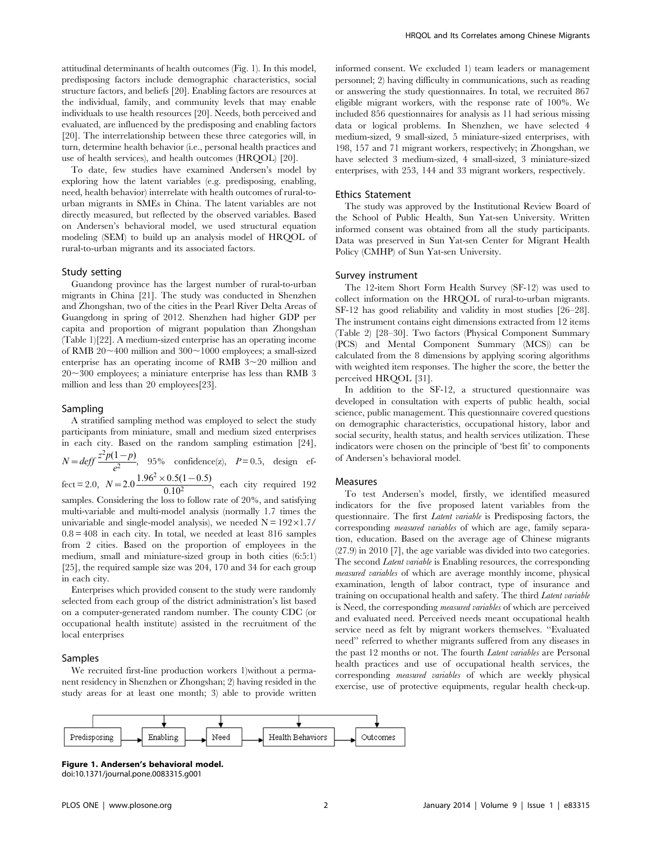attitudinal determinants of health outcomes (Fig. 1). In this model, predisposing factors include demographic characteristics, social structure factors, and beliefs [20]. Enabling factors are resources at the individual, family, and community levels that may enable individuals to use health resources [20]. Needs, both perceived and evaluated, are influenced by the predisposing and enabling factors [20]. The interrelationship between these three categories will, in turn, determine health behavior (i.e., personal health practices and use of health services), and health outcomes (HRQOL) [20].

To date, few studies have examined Andersen's model by exploring how the latent variables (e.g. predisposing, enabling, need, health behavior) interrelate with health outcomes of rural-tourban migrants in SMEs in China. The latent variables are not directly measured, but reflected by the observed variables. Based on Andersen's behavioral model, we used structural equation modeling (SEM) to build up an analysis model of HRQOL of rural-to-urban migrants and its associated factors.

#### Study setting

Guandong province has the largest number of rural-to-urban migrants in China [21]. The study was conducted in Shenzhen and Zhongshan, two of the cities in the Pearl River Delta Areas of Guangdong in spring of 2012. Shenzhen had higher GDP per capita and proportion of migrant population than Zhongshan (Table 1)[22]. A medium-sized enterprise has an operating income of RMB  $20 \sim 400$  million and  $300 \sim 1000$  employees; a small-sized enterprise has an operating income of RMB  $3 \sim 20$  million and  $20 - 300$  employees; a miniature enterprise has less than RMB 3 million and less than 20 employees[23].

#### Sampling

A stratified sampling method was employed to select the study participants from miniature, small and medium sized enterprises in each city. Based on the random sampling estimation [24],

 $N = \text{def} f \frac{z^2 p(1-p)}{e^2}$ , 95% confidence(z),  $P = 0.5$ , design ef-

fect = 2.0,  $N = 2.0 \frac{1.96^2 \times 0.5(1 - 0.5)}{0.10^2}$  $\frac{1}{0.10^2}$ , each city required 192 samples. Considering the loss to follow rate of 20%, and satisfying multi-variable and multi-model analysis (normally 1.7 times the univariable and single-model analysis), we needed  $N = 192 \times 1.7/$  $0.8 = 408$  in each city. In total, we needed at least 816 samples from 2 cities. Based on the proportion of employees in the medium, small and miniature-sized group in both cities (6:5:1) [25], the required sample size was 204, 170 and 34 for each group in each city.

Enterprises which provided consent to the study were randomly selected from each group of the district administration's list based on a computer-generated random number. The county CDC (or occupational health institute) assisted in the recruitment of the local enterprises

#### Samples

We recruited first-line production workers 1)without a permanent residency in Shenzhen or Zhongshan; 2) having resided in the study areas for at least one month; 3) able to provide written informed consent. We excluded 1) team leaders or management personnel; 2) having difficulty in communications, such as reading or answering the study questionnaires. In total, we recruited 867 eligible migrant workers, with the response rate of 100%. We included 856 questionnaires for analysis as 11 had serious missing data or logical problems. In Shenzhen, we have selected 4 medium-sized, 9 small-sized, 5 miniature-sized enterprises, with 198, 157 and 71 migrant workers, respectively; in Zhongshan, we have selected 3 medium-sized, 4 small-sized, 3 miniature-sized enterprises, with 253, 144 and 33 migrant workers, respectively.

#### Ethics Statement

The study was approved by the Institutional Review Board of the School of Public Health, Sun Yat-sen University. Written informed consent was obtained from all the study participants. Data was preserved in Sun Yat-sen Center for Migrant Health Policy (CMHP) of Sun Yat-sen University.

#### Survey instrument

The 12-item Short Form Health Survey (SF-12) was used to collect information on the HRQOL of rural-to-urban migrants. SF-12 has good reliability and validity in most studies [26–28]. The instrument contains eight dimensions extracted from 12 items (Table 2) [28–30]. Two factors (Physical Component Summary (PCS) and Mental Component Summary (MCS)) can be calculated from the 8 dimensions by applying scoring algorithms with weighted item responses. The higher the score, the better the perceived HRQOL [31].

In addition to the SF-12, a structured questionnaire was developed in consultation with experts of public health, social science, public management. This questionnaire covered questions on demographic characteristics, occupational history, labor and social security, health status, and health services utilization. These indicators were chosen on the principle of 'best fit' to components of Andersen's behavioral model.

#### Measures

To test Andersen's model, firstly, we identified measured indicators for the five proposed latent variables from the questionnaire. The first Latent variable is Predisposing factors, the corresponding measured variables of which are age, family separation, education. Based on the average age of Chinese migrants (27.9) in 2010 [7], the age variable was divided into two categories. The second *Latent variable* is Enabling resources, the corresponding measured variables of which are average monthly income, physical examination, length of labor contract, type of insurance and training on occupational health and safety. The third Latent variable is Need, the corresponding measured variables of which are perceived and evaluated need. Perceived needs meant occupational health service need as felt by migrant workers themselves. ''Evaluated need'' referred to whether migrants suffered from any diseases in the past 12 months or not. The fourth Latent variables are Personal health practices and use of occupational health services, the corresponding measured variables of which are weekly physical exercise, use of protective equipments, regular health check-up.



Figure 1. Andersen's behavioral model. doi:10.1371/journal.pone.0083315.g001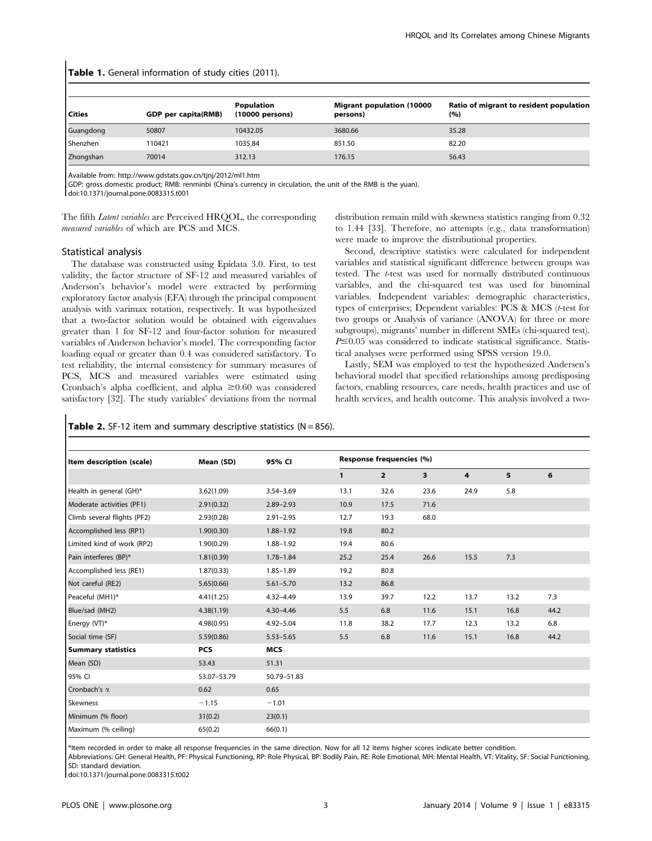# Table 1. General information of study cities (2011).

| l Cities  | GDP per capita(RMB) | Population<br>(10000 persons) | <b>Migrant population (10000</b><br>persons) | Ratio of migrant to resident population<br>(%) |
|-----------|---------------------|-------------------------------|----------------------------------------------|------------------------------------------------|
| Guangdong | 50807               | 10432.05                      | 3680.66                                      | 35.28                                          |
| Shenzhen  | 110421              | 1035.84                       | 851.50                                       | 82.20                                          |
| Zhongshan | 70014               | 312.13                        | 176.15                                       | 56.43                                          |

Available from: http://www.gdstats.gov.cn/tjnj/2012/ml1.htm

GDP: gross domestic product; RMB: renminbi (China's currency in circulation, the unit of the RMB is the yuan). doi:10.1371/journal.pone.0083315.t001

The fifth Latent variables are Perceived HRQOL, the corresponding measured variables of which are PCS and MCS.

distribution remain mild with skewness statistics ranging from 0.32 to 1.44 [33]. Therefore, no attempts (e.g., data transformation) were made to improve the distributional properties.

#### Statistical analysis

The database was constructed using Epidata 3.0. First, to test validity, the factor structure of SF-12 and measured variables of Anderson's behavior's model were extracted by performing exploratory factor analysis (EFA) through the principal component analysis with varimax rotation, respectively. It was hypothesized that a two-factor solution would be obtained with eigenvalues greater than 1 for SF-12 and four-factor solution for measured variables of Anderson behavior's model. The corresponding factor loading equal or greater than 0.4 was considered satisfactory. To test reliability, the internal consistency for summary measures of PCS, MCS and measured variables were estimated using Cronbach's alpha coefficient, and alpha  $\geq 0.60$  was considered satisfactory [32]. The study variables' deviations from the normal

Second, descriptive statistics were calculated for independent variables and statistical significant difference between groups was tested. The t-test was used for normally distributed continuous variables, and the chi-squared test was used for binominal variables. Independent variables: demographic characteristics, types of enterprises; Dependent variables: PCS & MCS (t-test for two groups or Analysis of variance (ANOVA) for three or more subgroups), migrants' number in different SMEs (chi-squared test).  $P \leq 0.05$  was considered to indicate statistical significance. Statistical analyses were performed using SPSS version 19.0.

Lastly, SEM was employed to test the hypothesized Andersen's behavioral model that specified relationships among predisposing factors, enabling resources, care needs, health practices and use of health services, and health outcome. This analysis involved a two-

Table 2. SF-12 item and summary descriptive statistics ( $N = 856$ ).

| Item description (scale)    | Mean (SD)   | 95% CI        | Response frequencies (%) |                |      |      |      |      |
|-----------------------------|-------------|---------------|--------------------------|----------------|------|------|------|------|
|                             |             |               | 1                        | $\overline{2}$ | 3    | 4    | 5    | 6    |
| Health in general (GH)*     | 3.62(1.09)  | $3.54 - 3.69$ | 13.1                     | 32.6           | 23.6 | 24.9 | 5.8  |      |
| Moderate activities (PF1)   | 2.91(0.32)  | $2.89 - 2.93$ | 10.9                     | 17.5           | 71.6 |      |      |      |
| Climb several flights (PF2) | 2.93(0.28)  | $2.91 - 2.95$ | 12.7                     | 19.3           | 68.0 |      |      |      |
| Accomplished less (RP1)     | 1.90(0.30)  | $1.88 - 1.92$ | 19.8                     | 80.2           |      |      |      |      |
| Limited kind of work (RP2)  | 1.90(0.29)  | $1.88 - 1.92$ | 19.4                     | 80.6           |      |      |      |      |
| Pain interferes (BP)*       | 1.81(0.39)  | $1.78 - 1.84$ | 25.2                     | 25.4           | 26.6 | 15.5 | 7.3  |      |
| Accomplished less (RE1)     | 1.87(0.33)  | $1.85 - 1.89$ | 19.2                     | 80.8           |      |      |      |      |
| Not careful (RE2)           | 5.65(0.66)  | $5.61 - 5.70$ | 13.2                     | 86.8           |      |      |      |      |
| Peaceful (MH1)*             | 4.41(1.25)  | $4.32 - 4.49$ | 13.9                     | 39.7           | 12.2 | 13.7 | 13.2 | 7.3  |
| Blue/sad (MH2)              | 4.38(1.19)  | $4.30 - 4.46$ | 5.5                      | 6.8            | 11.6 | 15.1 | 16.8 | 44.2 |
| Energy (VT)*                | 4.98(0.95)  | $4.92 - 5.04$ | 11.8                     | 38.2           | 17.7 | 12.3 | 13.2 | 6.8  |
| Social time (SF)            | 5.59(0.86)  | $5.53 - 5.65$ | 5.5                      | 6.8            | 11.6 | 15.1 | 16.8 | 44.2 |
| <b>Summary statistics</b>   | <b>PCS</b>  | <b>MCS</b>    |                          |                |      |      |      |      |
| Mean (SD)                   | 53.43       | 51.31         |                          |                |      |      |      |      |
| 95% CI                      | 53.07-53.79 | 50.79-51.83   |                          |                |      |      |      |      |
| Cronbach's α                | 0.62        | 0.65          |                          |                |      |      |      |      |
| Skewness                    | $-1.15$     | $-1.01$       |                          |                |      |      |      |      |
| Minimum (% floor)           | 31(0.2)     | 23(0.1)       |                          |                |      |      |      |      |
| Maximum (% ceiling)         | 65(0.2)     | 66(0.1)       |                          |                |      |      |      |      |

\*Item recorded in order to make all response frequencies in the same direction. Now for all 12 items higher scores indicate better condition.

Abbreviations: GH: General Health, PF: Physical Functioning, RP: Role Physical, BP: Bodily Pain, RE: Role Emotional, MH: Mental Health, VT: Vitality, SF: Social Functioning, SD: standard deviation.

doi:10.1371/journal.pone.0083315.t002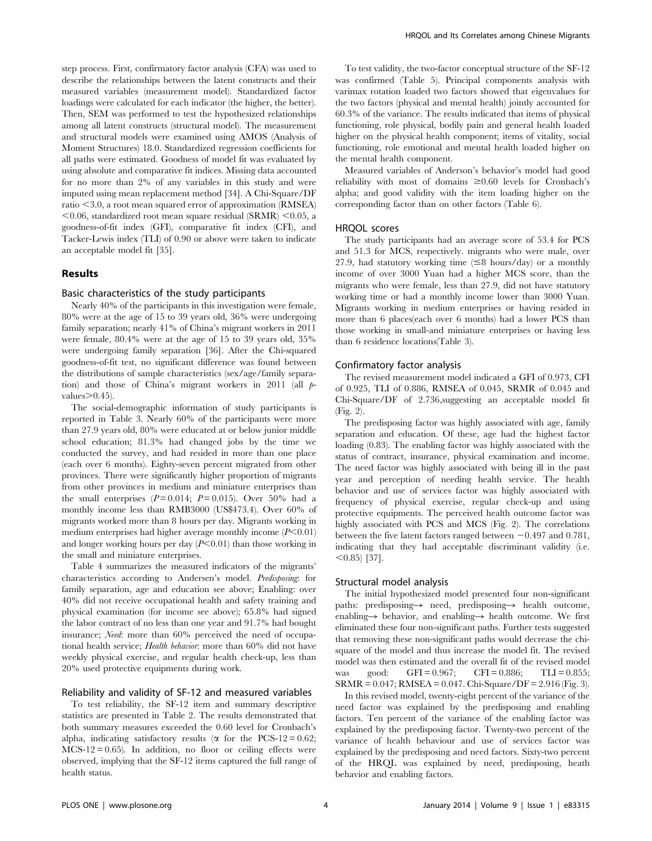step process. First, confirmatory factor analysis (CFA) was used to describe the relationships between the latent constructs and their measured variables (measurement model). Standardized factor loadings were calculated for each indicator (the higher, the better). Then, SEM was performed to test the hypothesized relationships among all latent constructs (structural model). The measurement and structural models were examined using AMOS (Analysis of Moment Structures) 18.0. Standardized regression coefficients for all paths were estimated. Goodness of model fit was evaluated by using absolute and comparative fit indices. Missing data accounted for no more than 2% of any variables in this study and were imputed using mean replacement method [34]. A Chi-Square/DF ratio  $\leq$ 3.0, a root mean squared error of approximation (RMSEA)  $\leq 0.06$ , standardized root mean square residual (SRMR)  $\leq 0.05$ , a goodness-of-fit index (GFI), comparative fit index (CFI), and Tacker-Lewis index (TLI) of 0.90 or above were taken to indicate an acceptable model fit [35].

#### Results

#### Basic characteristics of the study participants

Nearly 40% of the participants in this investigation were female, 80% were at the age of 15 to 39 years old, 36% were undergoing family separation; nearly 41% of China's migrant workers in 2011 were female, 80.4% were at the age of 15 to 39 years old, 35% were undergoing family separation [36]. After the Chi-squared goodness-of-fit test, no significant difference was found between the distributions of sample characteristics (sex/age/family separation) and those of China's migrant workers in 2011 (all pvalues $\geq 0.45$ ).

The social-demographic information of study participants is reported in Table 3. Nearly 60% of the participants were more than 27.9 years old, 80% were educated at or below junior middle school education; 81.3% had changed jobs by the time we conducted the survey, and had resided in more than one place (each over 6 months). Eighty-seven percent migrated from other provinces. There were significantly higher proportion of migrants from other provinces in medium and miniature enterprises than the small enterprises  $(P=0.014; P=0.015)$ . Over 50% had a monthly income less than RMB3000 (US\$473.4). Over 60% of migrants worked more than 8 hours per day. Migrants working in medium enterprises had higher average monthly income  $(P<0.01)$ and longer working hours per day  $(P<0.01)$  than those working in the small and miniature enterprises.

Table 4 summarizes the measured indicators of the migrants' characteristics according to Andersen's model. Predisposing: for family separation, age and education see above; Enabling: over 40% did not receive occupational health and safety training and physical examination (for income see above); 65.8% had signed the labor contract of no less than one year and 91.7% had bought insurance; Need: more than 60% perceived the need of occupational health service; Health behavior: more than 60% did not have weekly physical exercise, and regular health check-up, less than 20% used protective equipments during work.

# Reliability and validity of SF-12 and measured variables

To test reliability, the SF-12 item and summary descriptive statistics are presented in Table 2. The results demonstrated that both summary measures exceeded the 0.60 level for Cronbach's alpha, indicating satisfactory results ( $\alpha$  for the PCS-12 = 0.62;  $MCS-12 = 0.65$ ). In addition, no floor or ceiling effects were observed, implying that the SF-12 items captured the full range of health status.

To test validity, the two-factor conceptual structure of the SF-12 was confirmed (Table 5). Principal components analysis with varimax rotation loaded two factors showed that eigenvalues for the two factors (physical and mental health) jointly accounted for 60.3% of the variance. The results indicated that items of physical functioning, role physical, bodily pain and general health loaded higher on the physical health component; items of vitality, social functioning, role emotional and mental health loaded higher on the mental health component.

Measured variables of Anderson's behavior's model had good reliability with most of domains  $\geq 0.60$  levels for Cronbach's alpha; and good validity with the item loading higher on the corresponding factor than on other factors (Table 6).

#### HRQOL scores

The study participants had an average score of 53.4 for PCS and 51.3 for MCS, respectively. migrants who were male, over 27.9, had statutory working time  $(\leq 8$  hours/day) or a monthly income of over 3000 Yuan had a higher MCS score, than the migrants who were female, less than 27.9, did not have statutory working time or had a monthly income lower than 3000 Yuan. Migrants working in medium enterprises or having resided in more than 6 places(each over 6 months) had a lower PCS than those working in small-and miniature enterprises or having less than 6 residence locations(Table 3).

#### Confirmatory factor analysis

The revised measurement model indicated a GFI of 0.973, CFI of 0.925, TLI of 0.886, RMSEA of 0.045, SRMR of 0.045 and Chi-Square/DF of 2.736,suggesting an acceptable model fit (Fig. 2).

The predisposing factor was highly associated with age, family separation and education. Of these, age had the highest factor loading (0.83). The enabling factor was highly associated with the status of contract, insurance, physical examination and income. The need factor was highly associated with being ill in the past year and perception of needing health service. The health behavior and use of services factor was highly associated with frequency of physical exercise, regular check-up and using protective equipments. The perceived health outcome factor was highly associated with PCS and MCS (Fig. 2). The correlations between the five latent factors ranged between  $-0.497$  and  $0.781$ . indicating that they had acceptable discriminant validity (i.e.  $<$  0.85) [37].

#### Structural model analysis

The initial hypothesized model presented four non-significant paths: predisposing $\rightarrow$  need, predisposing $\rightarrow$  health outcome, enabling  $\rightarrow$  behavior, and enabling  $\rightarrow$  health outcome. We first eliminated these four non-significant paths. Further tests suggested that removing these non-significant paths would decrease the chisquare of the model and thus increase the model fit. The revised model was then estimated and the overall fit of the revised model was good: GFI = 0.967; CFI = 0.886; TLI = 0.855; SRMR = 0.047; RMSEA = 0.047. Chi-Square/DF = 2.916 (Fig. 3).

In this revised model, twenty-eight percent of the variance of the need factor was explained by the predisposing and enabling factors. Ten percent of the variance of the enabling factor was explained by the predisposing factor. Twenty-two percent of the variance of health behaviour and use of services factor was explained by the predisposing and need factors. Sixty-two percent of the HRQL was explained by need, predisposing, heath behavior and enabling factors.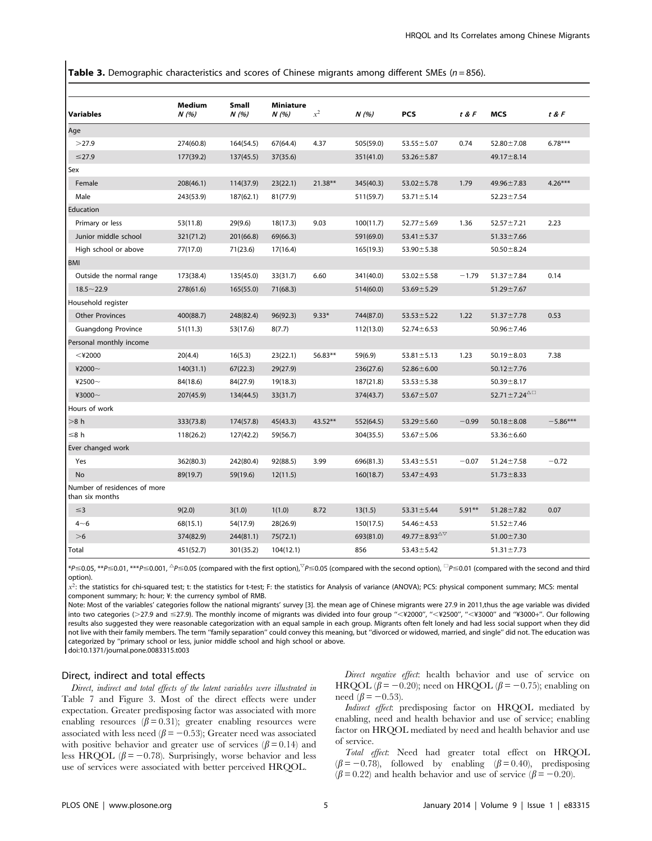**Table 3.** Demographic characteristics and scores of Chinese migrants among different SMEs ( $n = 856$ ).

| Variables                                       | <b>Medium</b><br>N(%) | Small<br>N(%) | <b>Miniature</b><br>N(%) | $x^2$     | N(%)      | <b>PCS</b>                               | t & F    | <b>MCS</b>                   | t & F      |
|-------------------------------------------------|-----------------------|---------------|--------------------------|-----------|-----------|------------------------------------------|----------|------------------------------|------------|
| Age                                             |                       |               |                          |           |           |                                          |          |                              |            |
| >27.9                                           | 274(60.8)             | 164(54.5)     | 67(64.4)                 | 4.37      | 505(59.0) | $53.55 \pm 5.07$                         | 0.74     | $52.80 \pm 7.08$             | $6.78***$  |
| $≤27.9$                                         | 177(39.2)             | 137(45.5)     | 37(35.6)                 |           | 351(41.0) | $53.26 \pm 5.87$                         |          | $49.17 \pm 8.14$             |            |
| Sex                                             |                       |               |                          |           |           |                                          |          |                              |            |
| Female                                          | 208(46.1)             | 114(37.9)     | 23(22.1)                 | $21.38**$ | 345(40.3) | $53.02 \pm 5.78$                         | 1.79     | $49.96 \pm 7.83$             | $4.26***$  |
| Male                                            | 243(53.9)             | 187(62.1)     | 81(77.9)                 |           | 511(59.7) | $53.71 \pm 5.14$                         |          | $52.23 \pm 7.54$             |            |
| Education                                       |                       |               |                          |           |           |                                          |          |                              |            |
| Primary or less                                 | 53(11.8)              | 29(9.6)       | 18(17.3)                 | 9.03      | 100(11.7) | $52.77 \pm 5.69$                         | 1.36     | $52.57 \pm 7.21$             | 2.23       |
| Junior middle school                            | 321(71.2)             | 201(66.8)     | 69(66.3)                 |           | 591(69.0) | $53.41 \pm 5.37$                         |          | $51.33 \pm 7.66$             |            |
| High school or above                            | 77(17.0)              | 71(23.6)      | 17(16.4)                 |           | 165(19.3) | $53.90 \pm 5.38$                         |          | $50.50 \pm 8.24$             |            |
| <b>BMI</b>                                      |                       |               |                          |           |           |                                          |          |                              |            |
| Outside the normal range                        | 173(38.4)             | 135(45.0)     | 33(31.7)                 | 6.60      | 341(40.0) | $53.02 \pm 5.58$                         | $-1.79$  | $51.37 \pm 7.84$             | 0.14       |
| $18.5 - 22.9$                                   | 278(61.6)             | 165(55.0)     | 71(68.3)                 |           | 514(60.0) | $53.69 \pm 5.29$                         |          | $51.29 \pm 7.67$             |            |
| Household register                              |                       |               |                          |           |           |                                          |          |                              |            |
| <b>Other Provinces</b>                          | 400(88.7)             | 248(82.4)     | 96(92.3)                 | $9.33*$   | 744(87.0) | $53.53 \pm 5.22$                         | 1.22     | $51.37 \pm 7.78$             | 0.53       |
| <b>Guangdong Province</b>                       | 51(11.3)              | 53(17.6)      | 8(7.7)                   |           | 112(13.0) | $52.74 \pm 6.53$                         |          | $50.96 \pm 7.46$             |            |
| Personal monthly income                         |                       |               |                          |           |           |                                          |          |                              |            |
| $<$ ¥2000                                       | 20(4.4)               | 16(5.3)       | 23(22.1)                 | 56.83**   | 59(6.9)   | $53.81 \pm 5.13$                         | 1.23     | $50.19 \pm 8.03$             | 7.38       |
| ¥2000 $\sim$                                    | 140(31.1)             | 67(22.3)      | 29(27.9)                 |           | 236(27.6) | $52.86 \pm 6.00$                         |          | $50.12 \pm 7.76$             |            |
| ¥2500 $\sim$                                    | 84(18.6)              | 84(27.9)      | 19(18.3)                 |           | 187(21.8) | $53.53 \pm 5.38$                         |          | $50.39 \pm 8.17$             |            |
| ¥3000~                                          | 207(45.9)             | 134(44.5)     | 33(31.7)                 |           | 374(43.7) | $53.67 \pm 5.07$                         |          | $52.71 \pm 7.24^{\triangle}$ |            |
| Hours of work                                   |                       |               |                          |           |           |                                          |          |                              |            |
| >8 h                                            | 333(73.8)             | 174(57.8)     | 45(43.3)                 | 43.52**   | 552(64.5) | $53.29 \pm 5.60$                         | $-0.99$  | $50.18 \pm 8.08$             | $-5.86***$ |
| ≤8 h                                            | 118(26.2)             | 127(42.2)     | 59(56.7)                 |           | 304(35.5) | $53.67 \pm 5.06$                         |          | $53.36 \pm 6.60$             |            |
| Ever changed work                               |                       |               |                          |           |           |                                          |          |                              |            |
| Yes                                             | 362(80.3)             | 242(80.4)     | 92(88.5)                 | 3.99      | 696(81.3) | $53.43 \pm 5.51$                         | $-0.07$  | $51.24 \pm 7.58$             | $-0.72$    |
| No                                              | 89(19.7)              | 59(19.6)      | 12(11.5)                 |           | 160(18.7) | $53.47 \pm 4.93$                         |          | $51.73 \pm 8.33$             |            |
| Number of residences of more<br>than six months |                       |               |                          |           |           |                                          |          |                              |            |
| $\leq$ 3                                        | 9(2.0)                | 3(1.0)        | 1(1.0)                   | 8.72      | 13(1.5)   | $53.31 \pm 5.44$                         | $5.91**$ | $51.28 \pm 7.82$             | 0.07       |
| $4 - 6$                                         | 68(15.1)              | 54(17.9)      | 28(26.9)                 |           | 150(17.5) | $54.46 \pm 4.53$                         |          | $51.52 \pm 7.46$             |            |
| >6                                              | 374(82.9)             | 244(81.1)     | 75(72.1)                 |           | 693(81.0) | 49.77 ± 8.93 $^{\triangle\triangledown}$ |          | $51.00 \pm 7.30$             |            |
| Total                                           | 451(52.7)             | 301(35.2)     | 104(12.1)                |           | 856       | $53.43 \pm 5.42$                         |          | $51.31 \pm 7.73$             |            |

 $*$ P $\le$ 0.05,  $*$ \* $P$  $\le$ 0.01,  $*$ \* $*$ P $\le$ 0.001,  $^{\triangle}$ P $\le$ 0.05 (compared with the first option), $^{\triangledown}$ P $\le$ 0.05 (compared with the second option),  $^{\square}$ P $\le$ 0.01 (compared with the second and third option).

 $x^2$ : the statistics for chi-squared test; t: the statistics for t-test; F: the statistics for Analysis of variance (ANOVA); PCS: physical component summary; MCS: mental component summary; h: hour; ¥: the currency symbol of RMB.

Note: Most of the variables' categories follow the national migrants' survey [3]. the mean age of Chinese migrants were 27.9 in 2011,thus the age variable was divided into two categories (>27.9 and ≤27.9). The monthly income of migrants was divided into four group "<¥2000", "<¥2500", "<¥3000" and "¥3000+". Our following results also suggested they were reasonable categorization with an equal sample in each group. Migrants often felt lonely and had less social support when they did not live with their family members. The term ''family separation'' could convey this meaning, but ''divorced or widowed, married, and single'' did not. The education was categorized by ''primary school or less, junior middle school and high school or above. doi:10.1371/journal.pone.0083315.t003

#### Direct, indirect and total effects

Direct, indirect and total effects of the latent variables were illustrated in Table 7 and Figure 3. Most of the direct effects were under expectation. Greater predisposing factor was associated with more enabling resources ( $\beta$  = 0.31); greater enabling resources were associated with less need ( $\beta$  = -0.53); Greater need was associated with positive behavior and greater use of services ( $\beta$  = 0.14) and less HRQOL ( $\beta$  = -0.78). Surprisingly, worse behavior and less use of services were associated with better perceived HRQOL.

Direct negative effect: health behavior and use of service on HRQOL ( $\beta$  = -0.20); need on HRQOL ( $\beta$  = -0.75); enabling on need  $(\beta = -0.53)$ .

Indirect effect: predisposing factor on HRQOL mediated by enabling, need and health behavior and use of service; enabling factor on HRQOL mediated by need and health behavior and use of service.

Total effect: Need had greater total effect on HRQOL  $(\beta = -0.78)$ , followed by enabling  $(\beta = 0.40)$ , predisposing  $(\beta = 0.22)$  and health behavior and use of service  $(\beta = -0.20)$ .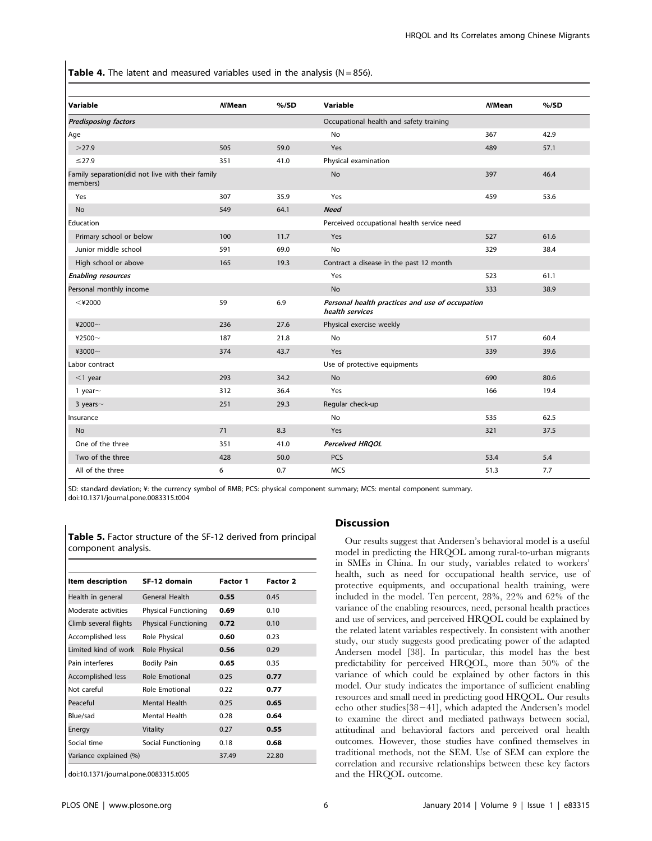**Table 4.** The latent and measured variables used in the analysis ( $N = 856$ ).

| Variable                                                     | N/Mean | $%$ /SD | Variable                                                           | <b>N/Mean</b> | % /SD |
|--------------------------------------------------------------|--------|---------|--------------------------------------------------------------------|---------------|-------|
| <b>Predisposing factors</b>                                  |        |         | Occupational health and safety training                            |               |       |
| Age                                                          |        |         | No                                                                 | 367           | 42.9  |
| >27.9                                                        | 505    | 59.0    | Yes                                                                | 489           | 57.1  |
| $\leq$ 27.9                                                  | 351    | 41.0    | Physical examination                                               |               |       |
| Family separation(did not live with their family<br>members) |        |         | <b>No</b>                                                          | 397           | 46.4  |
| Yes                                                          | 307    | 35.9    | Yes                                                                | 459           | 53.6  |
| <b>No</b>                                                    | 549    | 64.1    | <b>Need</b>                                                        |               |       |
| Education                                                    |        |         | Perceived occupational health service need                         |               |       |
| Primary school or below                                      | 100    | 11.7    | Yes                                                                | 527           | 61.6  |
| Junior middle school                                         | 591    | 69.0    | <b>No</b>                                                          | 329           | 38.4  |
| High school or above                                         | 165    | 19.3    | Contract a disease in the past 12 month                            |               |       |
| <b>Enabling resources</b>                                    |        |         | Yes                                                                | 523           | 61.1  |
| Personal monthly income                                      |        |         | No                                                                 | 333           | 38.9  |
| $<$ ¥2000                                                    | 59     | 6.9     | Personal health practices and use of occupation<br>health services |               |       |
| ¥2000 $\sim$                                                 | 236    | 27.6    | Physical exercise weekly                                           |               |       |
| ¥2500 $-$                                                    | 187    | 21.8    | No                                                                 | 517           | 60.4  |
| ¥3000~                                                       | 374    | 43.7    | Yes                                                                | 339           | 39.6  |
| Labor contract                                               |        |         | Use of protective equipments                                       |               |       |
| $<$ 1 year                                                   | 293    | 34.2    | <b>No</b>                                                          | 690           | 80.6  |
| 1 year $\sim$                                                | 312    | 36.4    | Yes                                                                | 166           | 19.4  |
| 3 years $\sim$                                               | 251    | 29.3    | Regular check-up                                                   |               |       |
| Insurance                                                    |        |         | No                                                                 | 535           | 62.5  |
| <b>No</b>                                                    | 71     | 8.3     | Yes                                                                | 321           | 37.5  |
| One of the three                                             | 351    | 41.0    | <b>Perceived HRQOL</b>                                             |               |       |
| Two of the three                                             | 428    | 50.0    | PCS                                                                | 53.4          | 5.4   |
| All of the three                                             | 6      | 0.7     | <b>MCS</b>                                                         | 51.3          | 7.7   |

SD: standard deviation; ¥: the currency symbol of RMB; PCS: physical component summary; MCS: mental component summary.

doi:10.1371/journal.pone.0083315.t004

| Table 5. Factor structure of the SF-12 derived from principal |  |
|---------------------------------------------------------------|--|
| component analysis.                                           |  |
|                                                               |  |

| Item description         | SF-12 domain                | Factor 1 | Factor 2 |
|--------------------------|-----------------------------|----------|----------|
| Health in general        | <b>General Health</b>       | 0.55     | 0.45     |
| Moderate activities      | <b>Physical Functioning</b> | 0.69     | 0.10     |
| Climb several flights    | <b>Physical Functioning</b> | 0.72     | 0.10     |
| Accomplished less        | Role Physical               | 0.60     | 0.23     |
| Limited kind of work     | Role Physical               | 0.56     | 0.29     |
| Pain interferes          | <b>Bodily Pain</b>          | 0.65     | 0.35     |
| <b>Accomplished less</b> | Role Emotional              | 0.25     | 0.77     |
| Not careful              | Role Emotional              | 0.22     | 0.77     |
| Peaceful                 | <b>Mental Health</b>        | 0.25     | 0.65     |
| Blue/sad                 | Mental Health               | 0.28     | 0.64     |
| Energy                   | Vitality                    | 0.27     | 0.55     |
| Social time              | Social Functioning          | 0.18     | 0.68     |
| Variance explained (%)   |                             | 37.49    | 22.80    |

doi:10.1371/journal.pone.0083315.t005

## Discussion

Our results suggest that Andersen's behavioral model is a useful model in predicting the HRQOL among rural-to-urban migrants in SMEs in China. In our study, variables related to workers' health, such as need for occupational health service, use of protective equipments, and occupational health training, were included in the model. Ten percent, 28%, 22% and 62% of the variance of the enabling resources, need, personal health practices and use of services, and perceived HRQOL could be explained by the related latent variables respectively. In consistent with another study, our study suggests good predicating power of the adapted Andersen model [38]. In particular, this model has the best predictability for perceived HRQOL, more than 50% of the variance of which could be explained by other factors in this model. Our study indicates the importance of sufficient enabling resources and small need in predicting good HRQOL. Our results echo other studies $[38-41]$ , which adapted the Andersen's model to examine the direct and mediated pathways between social, attitudinal and behavioral factors and perceived oral health outcomes. However, those studies have confined themselves in traditional methods, not the SEM. Use of SEM can explore the correlation and recursive relationships between these key factors and the HRQOL outcome.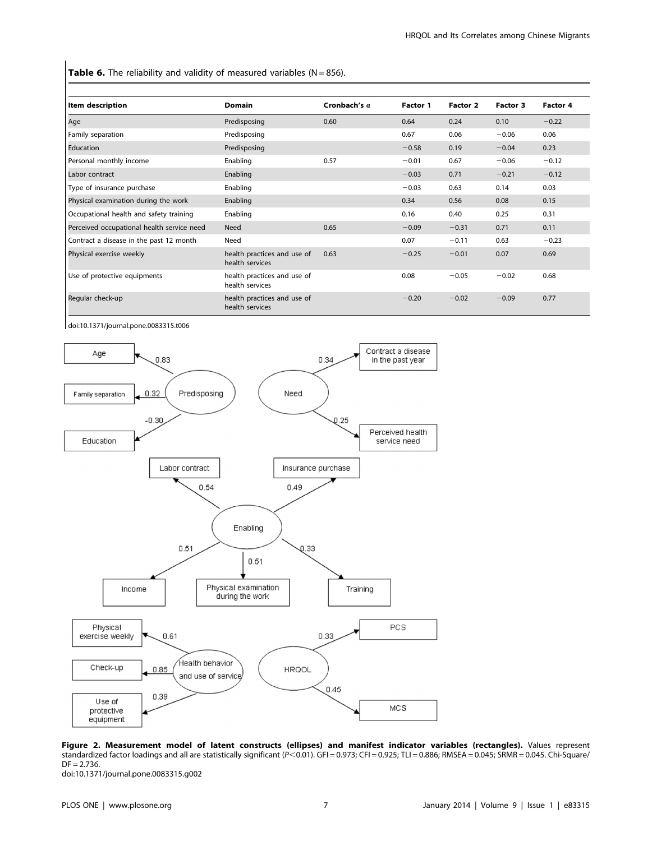Table 6. The reliability and validity of measured variables ( $N = 856$ ).

| Item description                           | <b>Domain</b>                                  | Cronbach's $\alpha$ | Factor 1 | Factor 2 | Factor 3 | Factor 4 |
|--------------------------------------------|------------------------------------------------|---------------------|----------|----------|----------|----------|
| Age                                        | Predisposing                                   | 0.60                | 0.64     | 0.24     | 0.10     | $-0.22$  |
| Family separation                          | Predisposing                                   |                     | 0.67     | 0.06     | $-0.06$  | 0.06     |
| Education                                  | Predisposing                                   |                     | $-0.58$  | 0.19     | $-0.04$  | 0.23     |
| Personal monthly income                    | Enabling                                       | 0.57                | $-0.01$  | 0.67     | $-0.06$  | $-0.12$  |
| Labor contract                             | Enabling                                       |                     | $-0.03$  | 0.71     | $-0.21$  | $-0.12$  |
| Type of insurance purchase                 | Enabling                                       |                     | $-0.03$  | 0.63     | 0.14     | 0.03     |
| Physical examination during the work       | Enabling                                       |                     | 0.34     | 0.56     | 0.08     | 0.15     |
| Occupational health and safety training    | Enabling                                       |                     | 0.16     | 0.40     | 0.25     | 0.31     |
| Perceived occupational health service need | Need                                           | 0.65                | $-0.09$  | $-0.31$  | 0.71     | 0.11     |
| Contract a disease in the past 12 month    | Need                                           |                     | 0.07     | $-0.11$  | 0.63     | $-0.23$  |
| Physical exercise weekly                   | health practices and use of<br>health services | 0.63                | $-0.25$  | $-0.01$  | 0.07     | 0.69     |
| Use of protective equipments               | health practices and use of<br>health services |                     | 0.08     | $-0.05$  | $-0.02$  | 0.68     |
| Regular check-up                           | health practices and use of<br>health services |                     | $-0.20$  | $-0.02$  | $-0.09$  | 0.77     |

doi:10.1371/journal.pone.0083315.t006



Figure 2. Measurement model of latent constructs (ellipses) and manifest indicator variables (rectangles). Values represent standardized factor loadings and all are statistically significant (P<0.01). GFI = 0.973; CFI = 0.925; TLI = 0.886; RMSEA = 0.045; SRMR = 0.045. Chi-Square/  $DF = 2.736$ .

doi:10.1371/journal.pone.0083315.g002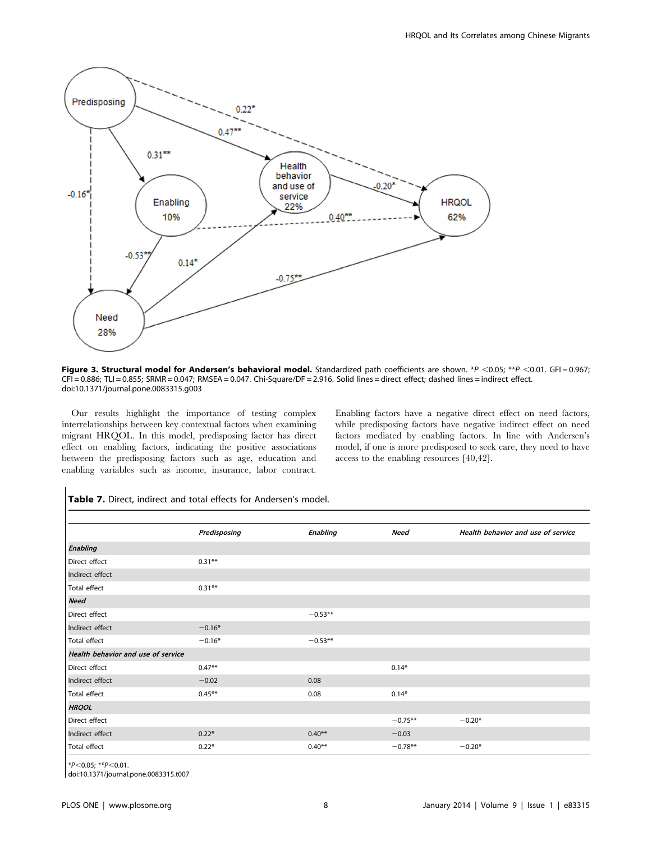

Figure 3. Structural model for Andersen's behavioral model. Standardized path coefficients are shown. \*P <0.05; \*\*P <0.01. GFI = 0.967; CFI = 0.886; TLI = 0.855; SRMR = 0.047; RMSEA = 0.047. Chi-Square/DF = 2.916. Solid lines = direct effect; dashed lines = indirect effect. doi:10.1371/journal.pone.0083315.g003

Our results highlight the importance of testing complex interrelationships between key contextual factors when examining migrant HRQOL. In this model, predisposing factor has direct effect on enabling factors, indicating the positive associations between the predisposing factors such as age, education and enabling variables such as income, insurance, labor contract. Enabling factors have a negative direct effect on need factors, while predisposing factors have negative indirect effect on need factors mediated by enabling factors. In line with Andersen's model, if one is more predisposed to seek care, they need to have access to the enabling resources [40,42].

|                                    | Predisposing | <b>Enabling</b> | Need      | Health behavior and use of service |
|------------------------------------|--------------|-----------------|-----------|------------------------------------|
| <b>Enabling</b>                    |              |                 |           |                                    |
| Direct effect                      | $0.31**$     |                 |           |                                    |
| Indirect effect                    |              |                 |           |                                    |
| Total effect                       | $0.31**$     |                 |           |                                    |
| <b>Need</b>                        |              |                 |           |                                    |
| Direct effect                      |              | $-0.53**$       |           |                                    |
| Indirect effect                    | $-0.16*$     |                 |           |                                    |
| Total effect                       | $-0.16*$     | $-0.53**$       |           |                                    |
| Health behavior and use of service |              |                 |           |                                    |
| Direct effect                      | $0.47***$    |                 | $0.14*$   |                                    |
| Indirect effect                    | $-0.02$      | 0.08            |           |                                    |
| Total effect                       | $0.45***$    | 0.08            | $0.14*$   |                                    |
| <b>HRQOL</b>                       |              |                 |           |                                    |
| Direct effect                      |              |                 | $-0.75**$ | $-0.20*$                           |
| Indirect effect                    | $0.22*$      | $0.40**$        | $-0.03$   |                                    |
| Total effect                       | $0.22*$      | $0.40**$        | $-0.78**$ | $-0.20*$                           |

# Table 7. Direct, indirect and total effects for Andersen's model.

 $*P<0.05; **P<0.01$ .

doi:10.1371/journal.pone.0083315.t007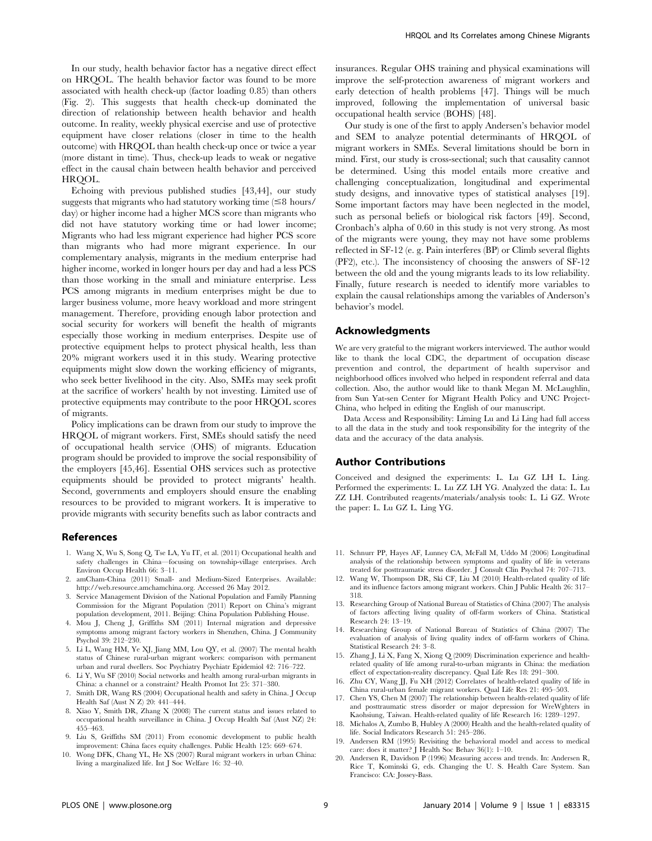In our study, health behavior factor has a negative direct effect on HRQOL. The health behavior factor was found to be more associated with health check-up (factor loading 0.85) than others (Fig. 2). This suggests that health check-up dominated the direction of relationship between health behavior and health outcome. In reality, weekly physical exercise and use of protective equipment have closer relations (closer in time to the health outcome) with HRQOL than health check-up once or twice a year (more distant in time). Thus, check-up leads to weak or negative effect in the causal chain between health behavior and perceived HROOL.

Echoing with previous published studies [43,44], our study suggests that migrants who had statutory working time  $(\leq 8$  hours/ day) or higher income had a higher MCS score than migrants who did not have statutory working time or had lower income; Migrants who had less migrant experience had higher PCS score than migrants who had more migrant experience. In our complementary analysis, migrants in the medium enterprise had higher income, worked in longer hours per day and had a less PCS than those working in the small and miniature enterprise. Less PCS among migrants in medium enterprises might be due to larger business volume, more heavy workload and more stringent management. Therefore, providing enough labor protection and social security for workers will benefit the health of migrants especially those working in medium enterprises. Despite use of protective equipment helps to protect physical health, less than 20% migrant workers used it in this study. Wearing protective equipments might slow down the working efficiency of migrants, who seek better livelihood in the city. Also, SMEs may seek profit at the sacrifice of workers' health by not investing. Limited use of protective equipments may contribute to the poor HRQOL scores of migrants.

Policy implications can be drawn from our study to improve the HRQOL of migrant workers. First, SMEs should satisfy the need of occupational health service (OHS) of migrants. Education program should be provided to improve the social responsibility of the employers [45,46]. Essential OHS services such as protective equipments should be provided to protect migrants' health. Second, governments and employers should ensure the enabling resources to be provided to migrant workers. It is imperative to provide migrants with security benefits such as labor contracts and

#### References

- 1. Wang X, Wu S, Song Q, Tse LA, Yu IT, et al. (2011) Occupational health and safety challenges in China—focusing on township-village enterprises. Arch Environ Occup Health 66: 3–11.
- 2. amCham-China (2011) Small- and Medium-Sized Enterprises. Available: http://web.resource.amchamchina.org. Accessed 26 May 2012.
- 3. Service Management Division of the National Population and Family Planning Commission for the Migrant Population (2011) Report on China's migrant population development, 2011. Beijing: China Population Publishing House.
- 4. Mou J, Cheng J, Griffiths SM (2011) Internal migration and depressive symptoms among migrant factory workers in Shenzhen, China. J Community Psychol 39: 212–230.
- 5. Li L, Wang HM, Ye XJ, Jiang MM, Lou QY, et al. (2007) The mental health status of Chinese rural-urban migrant workers: comparison with permanent urban and rural dwellers. Soc Psychiatry Psychiatr Epidemiol 42: 716–722.
- 6. Li Y, Wu SF (2010) Social networks and health among rural-urban migrants in China: a channel or a constraint? Health Promot Int 25: 371–380.
- 7. Smith DR, Wang RS (2004) Occupational health and safety in China. J Occup Health Saf (Aust N Z) 20: 441–444.
- 8. Xiao Y, Smith DR, Zhang X (2008) The current status and issues related to occupational health surveillance in China. J Occup Health Saf (Aust NZ) 24: 455–463.
- 9. Liu S, Griffiths SM (2011) From economic development to public health improvement: China faces equity challenges. Public Health 125: 669–674.
- 10. Wong DFK, Chang YL, He XS (2007) Rural migrant workers in urban China: living a marginalized life. Int J Soc Welfare 16: 32–40.

insurances. Regular OHS training and physical examinations will improve the self-protection awareness of migrant workers and early detection of health problems [47]. Things will be much improved, following the implementation of universal basic occupational health service (BOHS) [48].

Our study is one of the first to apply Andersen's behavior model and SEM to analyze potential determinants of HRQOL of migrant workers in SMEs. Several limitations should be born in mind. First, our study is cross-sectional; such that causality cannot be determined. Using this model entails more creative and challenging conceptualization, longitudinal and experimental study designs, and innovative types of statistical analyses [19]. Some important factors may have been neglected in the model, such as personal beliefs or biological risk factors [49]. Second, Cronbach's alpha of 0.60 in this study is not very strong. As most of the migrants were young, they may not have some problems reflected in SF-12 (e. g. Pain interferes (BP) or Climb several flights (PF2), etc.). The inconsistency of choosing the answers of SF-12 between the old and the young migrants leads to its low reliability. Finally, future research is needed to identify more variables to explain the causal relationships among the variables of Anderson's behavior's model.

# Acknowledgments

We are very grateful to the migrant workers interviewed. The author would like to thank the local CDC, the department of occupation disease prevention and control, the department of health supervisor and neighborhood offices involved who helped in respondent referral and data collection. Also, the author would like to thank Megan M. McLaughlin, from Sun Yat-sen Center for Migrant Health Policy and UNC Project-China, who helped in editing the English of our manuscript.

Data Access and Responsibility: Liming Lu and Li Ling had full access to all the data in the study and took responsibility for the integrity of the data and the accuracy of the data analysis.

### Author Contributions

Conceived and designed the experiments: L. Lu GZ LH L. Ling. Performed the experiments: L. Lu ZZ LH YG. Analyzed the data: L. Lu ZZ LH. Contributed reagents/materials/analysis tools: L. Li GZ. Wrote the paper: L. Lu GZ L. Ling YG.

- 11. Schnurr PP, Hayes AF, Lunney CA, McFall M, Uddo M (2006) Longitudinal analysis of the relationship between symptoms and quality of life in veterans treated for posttraumatic stress disorder. J Consult Clin Psychol 74: 707–713.
- 12. Wang W, Thompson DR, Ski CF, Liu M (2010) Health-related quality of life and its influence factors among migrant workers. Chin J Public Health 26: 317– 318.
- 13. Researching Group of National Bureau of Statistics of China (2007) The analysis of factors affecting living quality of off-farm workers of China. Statistical Research 24: 13–19.
- 14. Researching Group of National Bureau of Statistics of China (2007) The evaluation of analysis of living quality index of off-farm workers of China. Statistical Research 24: 3–8.
- 15. Zhang J, Li X, Fang X, Xiong Q (2009) Discrimination experience and healthrelated quality of life among rural-to-urban migrants in China: the mediation effect of expectation-reality discrepancy. Qual Life Res 18: 291–300.
- 16. Zhu CY, Wang JJ, Fu XH (2012) Correlates of health-related quality of life in China rural-urban female migrant workers. Qual Life Res 21: 495–503.
- 17. Chen YS, Chen M (2007) The relationship between health-related quality of life and posttraumatic stress disorder or major depression for WreWghters in Kaohsiung, Taiwan. Health-related quality of life Research 16: 1289–1297.
- 18. Michalos A, Zumbo B, Hubley A (2000) Health and the health-related quality of life. Social Indicators Research 51: 245–286.
- 19. Andersen RM (1995) Revisiting the behavioral model and access to medical care: does it matter? J Health Soc Behav 36(1): 1–10.
- 20. Andersen R, Davidson P (1996) Measuring access and trends. In: Andersen R, Rice T, Kominski G, eds. Changing the U. S. Health Care System. San Francisco: CA: Jossey-Bass.